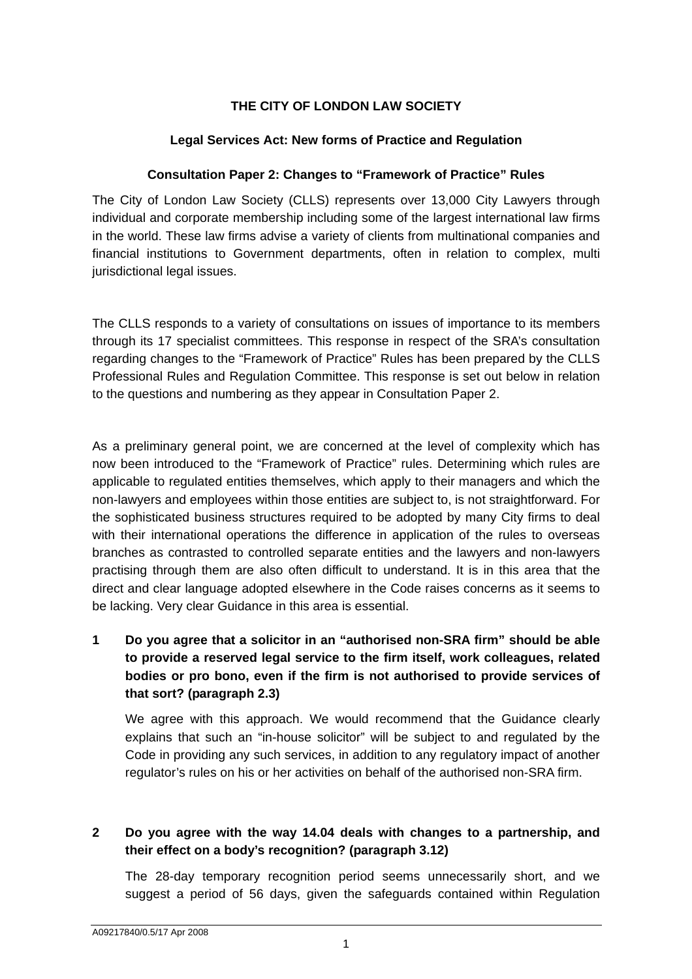## **THE CITY OF LONDON LAW SOCIETY**

### **Legal Services Act: New forms of Practice and Regulation**

#### **Consultation Paper 2: Changes to "Framework of Practice" Rules**

The City of London Law Society (CLLS) represents over 13,000 City Lawyers through individual and corporate membership including some of the largest international law firms in the world. These law firms advise a variety of clients from multinational companies and financial institutions to Government departments, often in relation to complex, multi jurisdictional legal issues.

The CLLS responds to a variety of consultations on issues of importance to its members through its 17 specialist committees. This response in respect of the SRA's consultation regarding changes to the "Framework of Practice" Rules has been prepared by the CLLS Professional Rules and Regulation Committee. This response is set out below in relation to the questions and numbering as they appear in Consultation Paper 2.

As a preliminary general point, we are concerned at the level of complexity which has now been introduced to the "Framework of Practice" rules. Determining which rules are applicable to regulated entities themselves, which apply to their managers and which the non-lawyers and employees within those entities are subject to, is not straightforward. For the sophisticated business structures required to be adopted by many City firms to deal with their international operations the difference in application of the rules to overseas branches as contrasted to controlled separate entities and the lawyers and non-lawyers practising through them are also often difficult to understand. It is in this area that the direct and clear language adopted elsewhere in the Code raises concerns as it seems to be lacking. Very clear Guidance in this area is essential.

**1 Do you agree that a solicitor in an "authorised non-SRA firm" should be able to provide a reserved legal service to the firm itself, work colleagues, related bodies or pro bono, even if the firm is not authorised to provide services of that sort? (paragraph 2.3)** 

We agree with this approach. We would recommend that the Guidance clearly explains that such an "in-house solicitor" will be subject to and regulated by the Code in providing any such services, in addition to any regulatory impact of another regulator's rules on his or her activities on behalf of the authorised non-SRA firm.

# **2 Do you agree with the way 14.04 deals with changes to a partnership, and their effect on a body's recognition? (paragraph 3.12)**

The 28-day temporary recognition period seems unnecessarily short, and we suggest a period of 56 days, given the safeguards contained within Regulation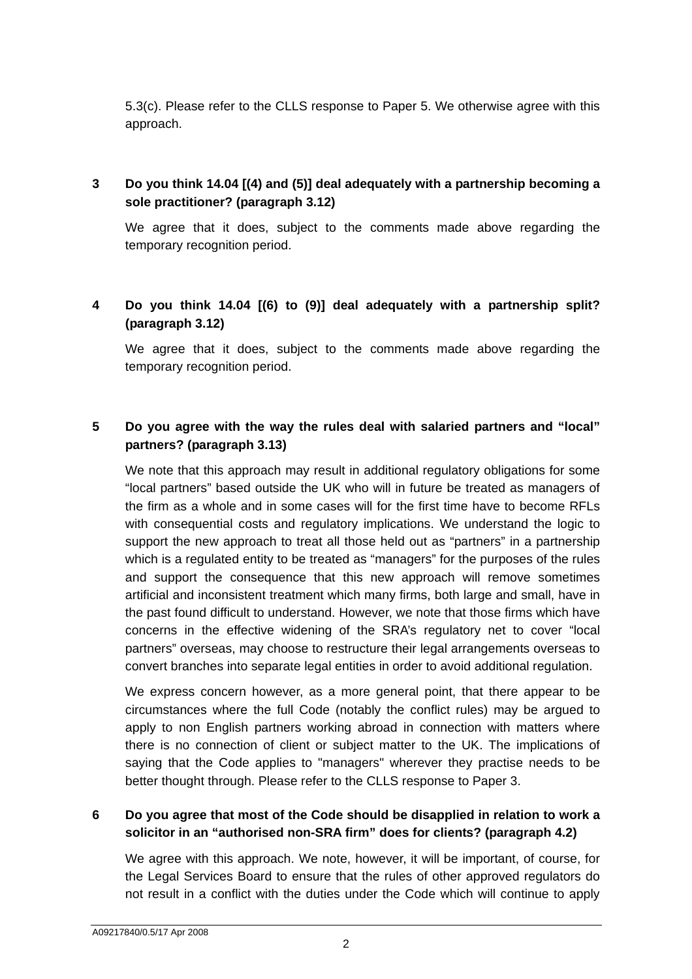5.3(c). Please refer to the CLLS response to Paper 5. We otherwise agree with this approach.

# **3 Do you think 14.04 [(4) and (5)] deal adequately with a partnership becoming a sole practitioner? (paragraph 3.12)**

We agree that it does, subject to the comments made above regarding the temporary recognition period.

## **4 Do you think 14.04 [(6) to (9)] deal adequately with a partnership split? (paragraph 3.12)**

We agree that it does, subject to the comments made above regarding the temporary recognition period.

## **5 Do you agree with the way the rules deal with salaried partners and "local" partners? (paragraph 3.13)**

We note that this approach may result in additional regulatory obligations for some "local partners" based outside the UK who will in future be treated as managers of the firm as a whole and in some cases will for the first time have to become RFLs with consequential costs and regulatory implications. We understand the logic to support the new approach to treat all those held out as "partners" in a partnership which is a regulated entity to be treated as "managers" for the purposes of the rules and support the consequence that this new approach will remove sometimes artificial and inconsistent treatment which many firms, both large and small, have in the past found difficult to understand. However, we note that those firms which have concerns in the effective widening of the SRA's regulatory net to cover "local partners" overseas, may choose to restructure their legal arrangements overseas to convert branches into separate legal entities in order to avoid additional regulation.

We express concern however, as a more general point, that there appear to be circumstances where the full Code (notably the conflict rules) may be argued to apply to non English partners working abroad in connection with matters where there is no connection of client or subject matter to the UK. The implications of saying that the Code applies to "managers" wherever they practise needs to be better thought through. Please refer to the CLLS response to Paper 3.

### **6 Do you agree that most of the Code should be disapplied in relation to work a solicitor in an "authorised non-SRA firm" does for clients? (paragraph 4.2)**

We agree with this approach. We note, however, it will be important, of course, for the Legal Services Board to ensure that the rules of other approved regulators do not result in a conflict with the duties under the Code which will continue to apply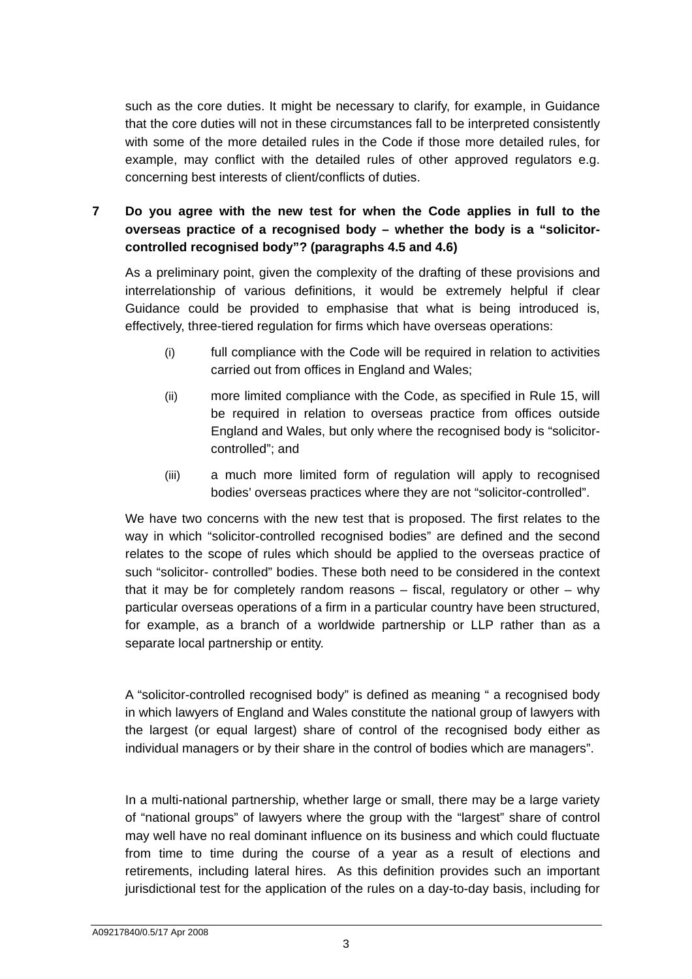such as the core duties. It might be necessary to clarify, for example, in Guidance that the core duties will not in these circumstances fall to be interpreted consistently with some of the more detailed rules in the Code if those more detailed rules, for example, may conflict with the detailed rules of other approved regulators e.g. concerning best interests of client/conflicts of duties.

**7 Do you agree with the new test for when the Code applies in full to the overseas practice of a recognised body – whether the body is a "solicitorcontrolled recognised body"? (paragraphs 4.5 and 4.6)** 

As a preliminary point, given the complexity of the drafting of these provisions and interrelationship of various definitions, it would be extremely helpful if clear Guidance could be provided to emphasise that what is being introduced is, effectively, three-tiered regulation for firms which have overseas operations:

- (i) full compliance with the Code will be required in relation to activities carried out from offices in England and Wales;
- (ii) more limited compliance with the Code, as specified in Rule 15, will be required in relation to overseas practice from offices outside England and Wales, but only where the recognised body is "solicitorcontrolled"; and
- (iii) a much more limited form of regulation will apply to recognised bodies' overseas practices where they are not "solicitor-controlled".

We have two concerns with the new test that is proposed. The first relates to the way in which "solicitor-controlled recognised bodies" are defined and the second relates to the scope of rules which should be applied to the overseas practice of such "solicitor- controlled" bodies. These both need to be considered in the context that it may be for completely random reasons  $-$  fiscal, regulatory or other  $-$  why particular overseas operations of a firm in a particular country have been structured, for example, as a branch of a worldwide partnership or LLP rather than as a separate local partnership or entity.

A "solicitor-controlled recognised body" is defined as meaning " a recognised body in which lawyers of England and Wales constitute the national group of lawyers with the largest (or equal largest) share of control of the recognised body either as individual managers or by their share in the control of bodies which are managers".

In a multi-national partnership, whether large or small, there may be a large variety of "national groups" of lawyers where the group with the "largest" share of control may well have no real dominant influence on its business and which could fluctuate from time to time during the course of a year as a result of elections and retirements, including lateral hires. As this definition provides such an important jurisdictional test for the application of the rules on a day-to-day basis, including for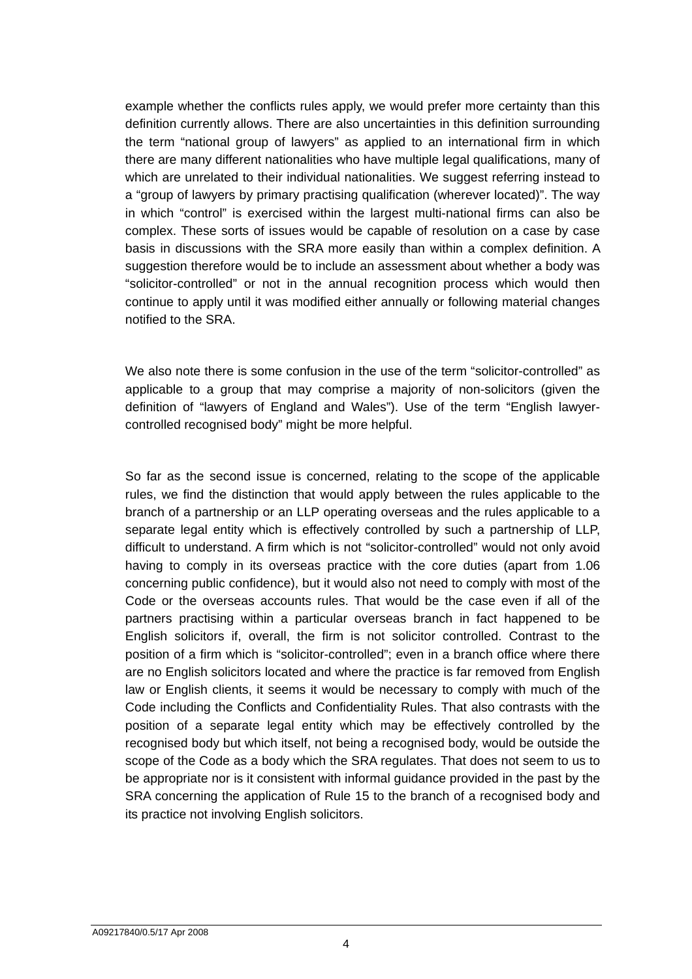example whether the conflicts rules apply, we would prefer more certainty than this definition currently allows. There are also uncertainties in this definition surrounding the term "national group of lawyers" as applied to an international firm in which there are many different nationalities who have multiple legal qualifications, many of which are unrelated to their individual nationalities. We suggest referring instead to a "group of lawyers by primary practising qualification (wherever located)". The way in which "control" is exercised within the largest multi-national firms can also be complex. These sorts of issues would be capable of resolution on a case by case basis in discussions with the SRA more easily than within a complex definition. A suggestion therefore would be to include an assessment about whether a body was "solicitor-controlled" or not in the annual recognition process which would then continue to apply until it was modified either annually or following material changes notified to the SRA.

We also note there is some confusion in the use of the term "solicitor-controlled" as applicable to a group that may comprise a majority of non-solicitors (given the definition of "lawyers of England and Wales"). Use of the term "English lawyercontrolled recognised body" might be more helpful.

So far as the second issue is concerned, relating to the scope of the applicable rules, we find the distinction that would apply between the rules applicable to the branch of a partnership or an LLP operating overseas and the rules applicable to a separate legal entity which is effectively controlled by such a partnership of LLP, difficult to understand. A firm which is not "solicitor-controlled" would not only avoid having to comply in its overseas practice with the core duties (apart from 1.06 concerning public confidence), but it would also not need to comply with most of the Code or the overseas accounts rules. That would be the case even if all of the partners practising within a particular overseas branch in fact happened to be English solicitors if, overall, the firm is not solicitor controlled. Contrast to the position of a firm which is "solicitor-controlled"; even in a branch office where there are no English solicitors located and where the practice is far removed from English law or English clients, it seems it would be necessary to comply with much of the Code including the Conflicts and Confidentiality Rules. That also contrasts with the position of a separate legal entity which may be effectively controlled by the recognised body but which itself, not being a recognised body, would be outside the scope of the Code as a body which the SRA regulates. That does not seem to us to be appropriate nor is it consistent with informal guidance provided in the past by the SRA concerning the application of Rule 15 to the branch of a recognised body and its practice not involving English solicitors.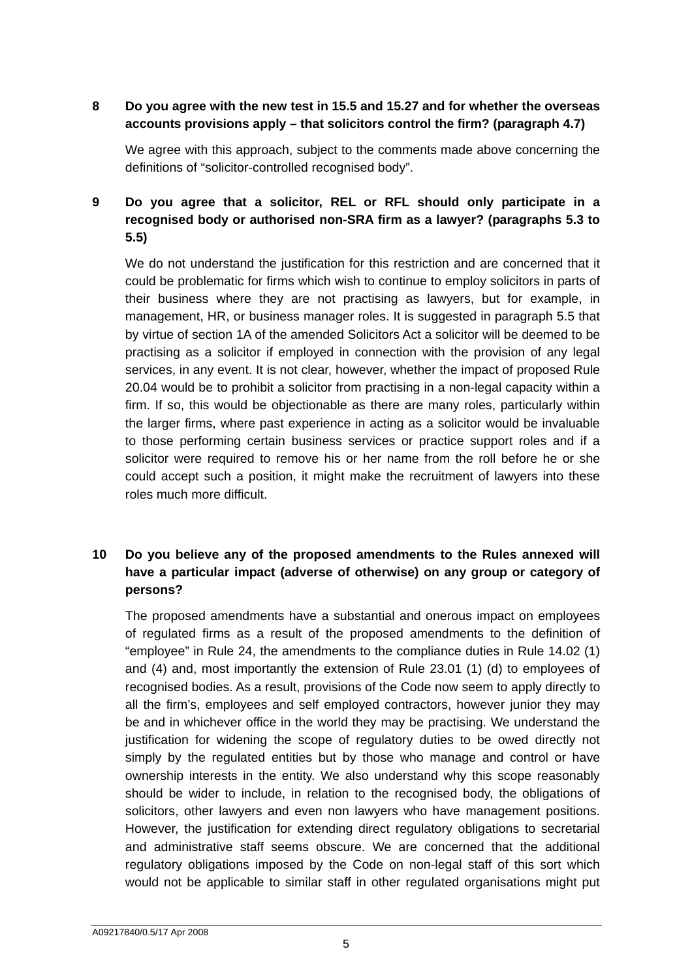## **8 Do you agree with the new test in 15.5 and 15.27 and for whether the overseas accounts provisions apply – that solicitors control the firm? (paragraph 4.7)**

We agree with this approach, subject to the comments made above concerning the definitions of "solicitor-controlled recognised body".

# **9 Do you agree that a solicitor, REL or RFL should only participate in a recognised body or authorised non-SRA firm as a lawyer? (paragraphs 5.3 to 5.5)**

We do not understand the justification for this restriction and are concerned that it could be problematic for firms which wish to continue to employ solicitors in parts of their business where they are not practising as lawyers, but for example, in management, HR, or business manager roles. It is suggested in paragraph 5.5 that by virtue of section 1A of the amended Solicitors Act a solicitor will be deemed to be practising as a solicitor if employed in connection with the provision of any legal services, in any event. It is not clear, however, whether the impact of proposed Rule 20.04 would be to prohibit a solicitor from practising in a non-legal capacity within a firm. If so, this would be objectionable as there are many roles, particularly within the larger firms, where past experience in acting as a solicitor would be invaluable to those performing certain business services or practice support roles and if a solicitor were required to remove his or her name from the roll before he or she could accept such a position, it might make the recruitment of lawyers into these roles much more difficult.

# **10 Do you believe any of the proposed amendments to the Rules annexed will have a particular impact (adverse of otherwise) on any group or category of persons?**

The proposed amendments have a substantial and onerous impact on employees of regulated firms as a result of the proposed amendments to the definition of "employee" in Rule 24, the amendments to the compliance duties in Rule 14.02 (1) and (4) and, most importantly the extension of Rule 23.01 (1) (d) to employees of recognised bodies. As a result, provisions of the Code now seem to apply directly to all the firm's, employees and self employed contractors, however junior they may be and in whichever office in the world they may be practising. We understand the justification for widening the scope of regulatory duties to be owed directly not simply by the regulated entities but by those who manage and control or have ownership interests in the entity. We also understand why this scope reasonably should be wider to include, in relation to the recognised body, the obligations of solicitors, other lawyers and even non lawyers who have management positions. However, the justification for extending direct regulatory obligations to secretarial and administrative staff seems obscure. We are concerned that the additional regulatory obligations imposed by the Code on non-legal staff of this sort which would not be applicable to similar staff in other regulated organisations might put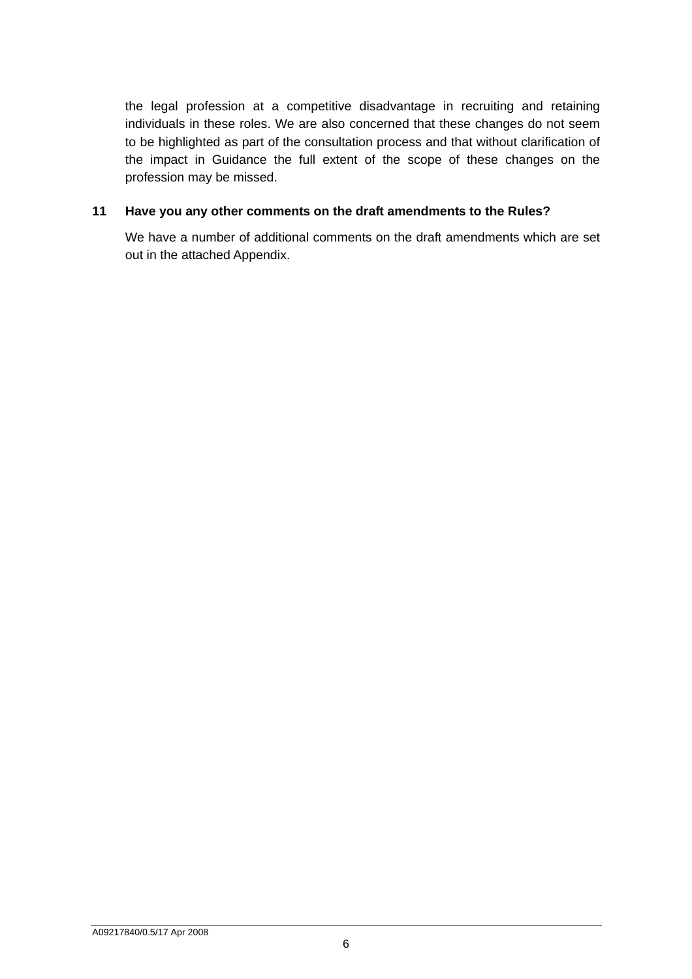the legal profession at a competitive disadvantage in recruiting and retaining individuals in these roles. We are also concerned that these changes do not seem to be highlighted as part of the consultation process and that without clarification of the impact in Guidance the full extent of the scope of these changes on the profession may be missed.

### **11 Have you any other comments on the draft amendments to the Rules?**

We have a number of additional comments on the draft amendments which are set out in the attached Appendix.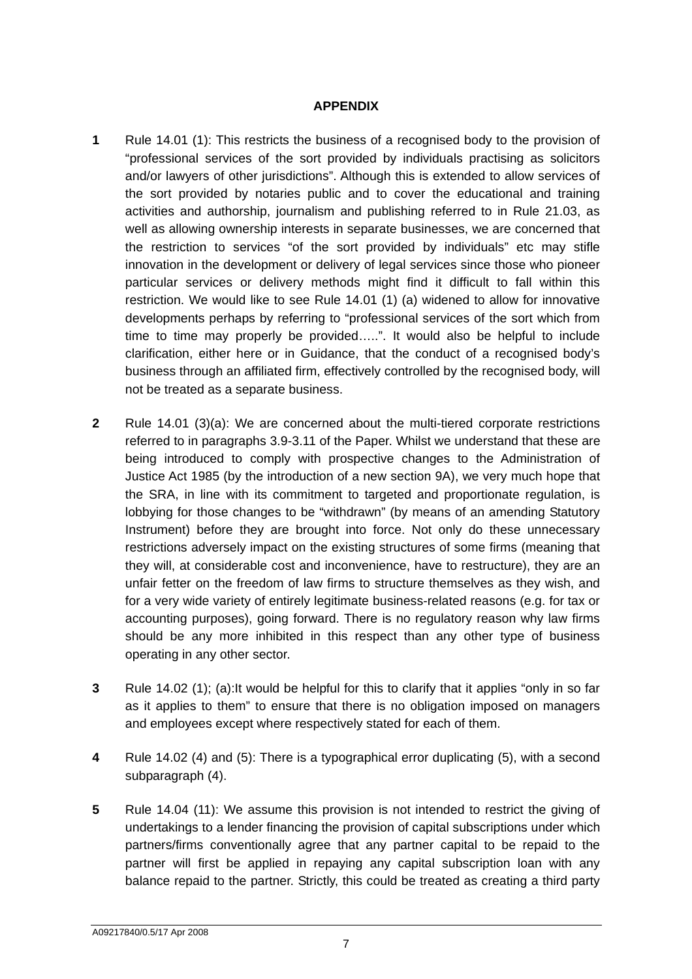#### **APPENDIX**

- **1** Rule 14.01 (1): This restricts the business of a recognised body to the provision of "professional services of the sort provided by individuals practising as solicitors and/or lawyers of other jurisdictions". Although this is extended to allow services of the sort provided by notaries public and to cover the educational and training activities and authorship, journalism and publishing referred to in Rule 21.03, as well as allowing ownership interests in separate businesses, we are concerned that the restriction to services "of the sort provided by individuals" etc may stifle innovation in the development or delivery of legal services since those who pioneer particular services or delivery methods might find it difficult to fall within this restriction. We would like to see Rule 14.01 (1) (a) widened to allow for innovative developments perhaps by referring to "professional services of the sort which from time to time may properly be provided…..". It would also be helpful to include clarification, either here or in Guidance, that the conduct of a recognised body's business through an affiliated firm, effectively controlled by the recognised body, will not be treated as a separate business.
- **2** Rule 14.01 (3)(a): We are concerned about the multi-tiered corporate restrictions referred to in paragraphs 3.9-3.11 of the Paper. Whilst we understand that these are being introduced to comply with prospective changes to the Administration of Justice Act 1985 (by the introduction of a new section 9A), we very much hope that the SRA, in line with its commitment to targeted and proportionate regulation, is lobbying for those changes to be "withdrawn" (by means of an amending Statutory Instrument) before they are brought into force. Not only do these unnecessary restrictions adversely impact on the existing structures of some firms (meaning that they will, at considerable cost and inconvenience, have to restructure), they are an unfair fetter on the freedom of law firms to structure themselves as they wish, and for a very wide variety of entirely legitimate business-related reasons (e.g. for tax or accounting purposes), going forward. There is no regulatory reason why law firms should be any more inhibited in this respect than any other type of business operating in any other sector.
- **3** Rule 14.02 (1); (a):It would be helpful for this to clarify that it applies "only in so far as it applies to them" to ensure that there is no obligation imposed on managers and employees except where respectively stated for each of them.
- **4** Rule 14.02 (4) and (5): There is a typographical error duplicating (5), with a second subparagraph (4).
- **5** Rule 14.04 (11): We assume this provision is not intended to restrict the giving of undertakings to a lender financing the provision of capital subscriptions under which partners/firms conventionally agree that any partner capital to be repaid to the partner will first be applied in repaying any capital subscription loan with any balance repaid to the partner. Strictly, this could be treated as creating a third party